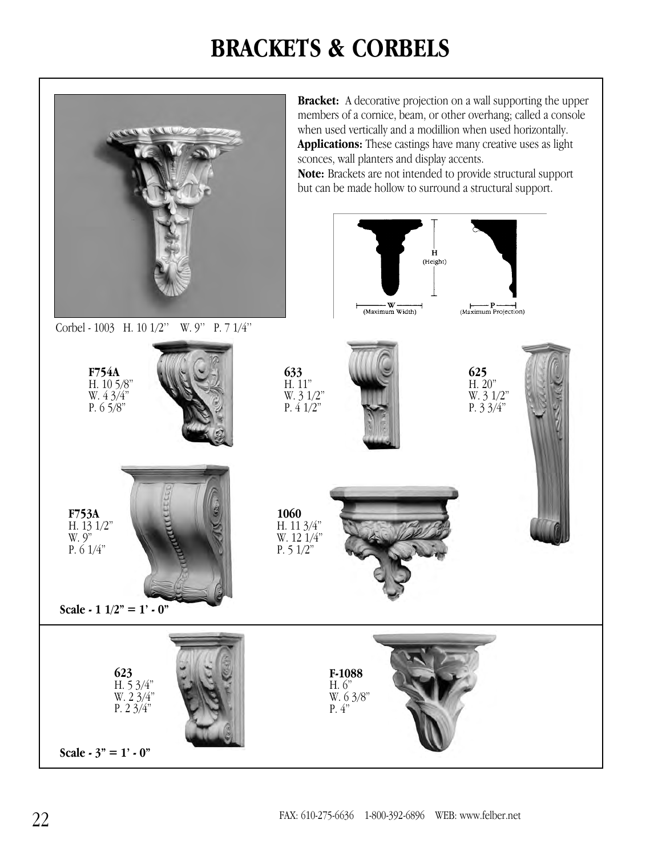## **BRACKETS & CORBELS**

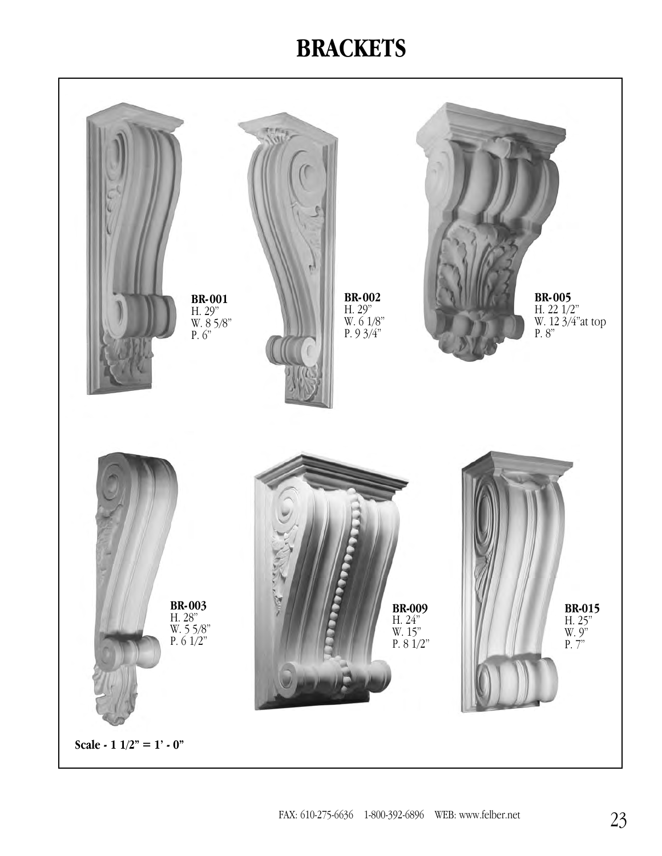## **BRACKETS**